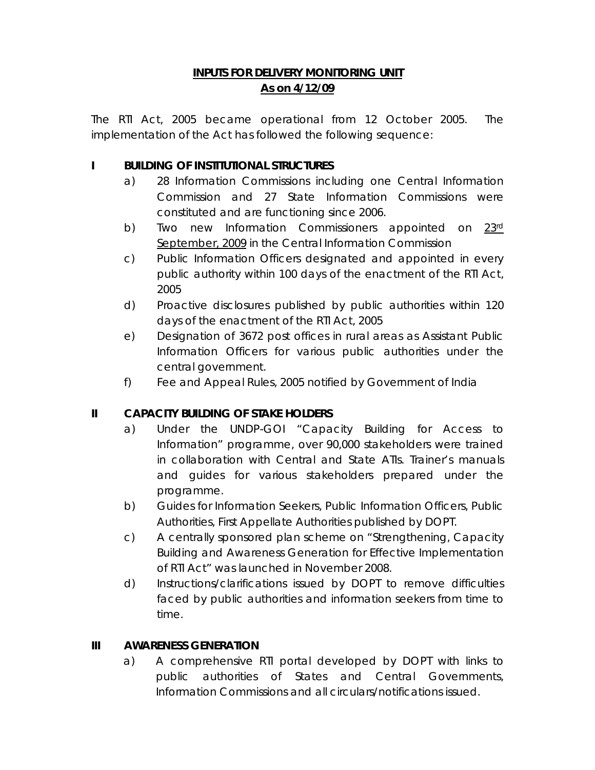# **INPUTS FOR DELIVERY MONITORING UNIT As on 4/12/09**

The RTI Act, 2005 became operational from 12 October 2005. The implementation of the Act has followed the following sequence:

### **I BUILDING OF INSTITUTIONAL STRUCTURES**

- a) 28 Information Commissions including one Central Information Commission and 27 State Information Commissions were constituted and are functioning since 2006.
- b) Two new Information Commissioners appointed on 23rd September, 2009 in the Central Information Commission
- c) Public Information Officers designated and appointed in every public authority within 100 days of the enactment of the RTI Act, 2005
- d) Proactive disclosures published by public authorities within 120 days of the enactment of the RTI Act, 2005
- e) Designation of 3672 post offices in rural areas as Assistant Public Information Officers for various public authorities under the central government.
- f) Fee and Appeal Rules, 2005 notified by Government of India

# **II CAPACITY BUILDING OF STAKE HOLDERS**

- a) Under the UNDP-GOI "Capacity Building for Access to Information" programme, over 90,000 stakeholders were trained in collaboration with Central and State ATIs. Trainer's manuals and guides for various stakeholders prepared under the programme.
- b) Guides for Information Seekers, Public Information Officers, Public Authorities, First Appellate Authorities published by DOPT.
- c) A centrally sponsored plan scheme on "Strengthening, Capacity Building and Awareness Generation for Effective Implementation of RTI Act" was launched in November 2008.
- d) Instructions/clarifications issued by DOPT to remove difficulties faced by public authorities and information seekers from time to time.

### **III AWARENESS GENERATION**

a) A comprehensive RTI portal developed by DOPT with links to public authorities of States and Central Governments, Information Commissions and all circulars/notifications issued.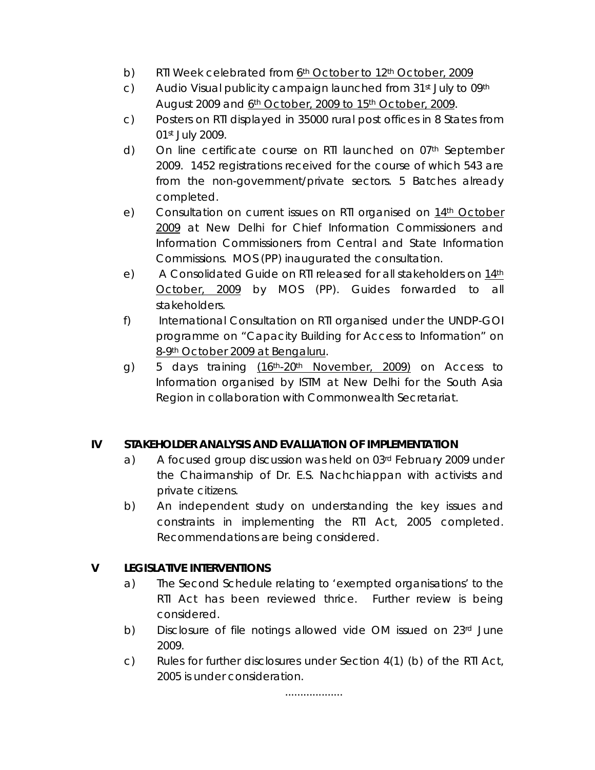- b) RTI Week celebrated from 6<sup>th</sup> October to 12<sup>th</sup> October, 2009
- c) Audio Visual publicity campaign launched from  $31<sup>st</sup>$  July to 09<sup>th</sup> August 2009 and 6th October, 2009 to 15th October, 2009.
- c) Posters on RTI displayed in 35000 rural post offices in 8 States from 01st July 2009.
- d) On line certificate course on RTI launched on 07th September 2009. 1452 registrations received for the course of which 543 are from the non-government/private sectors. 5 Batches already completed.
- e) Consultation on current issues on RTI organised on 14th October 2009 at New Delhi for Chief Information Commissioners and Information Commissioners from Central and State Information Commissions. MOS (PP) inaugurated the consultation.
- e) A Consolidated Guide on RTI released for all stakeholders on 14th October, 2009 by MOS (PP). Guides forwarded to all stakeholders.
- f) International Consultation on RTI organised under the UNDP-GOI programme on "Capacity Building for Access to Information" on 8-9th October 2009 at Bengaluru.
- g) 5 days training (16<sup>th</sup>-20<sup>th</sup> November, 2009) on Access to Information organised by ISTM at New Delhi for the South Asia Region in collaboration with Commonwealth Secretariat.

### **IV STAKEHOLDER ANALYSIS AND EVALUATION OF IMPLEMENTATION**

- a) A focused group discussion was held on 03rd February 2009 under the Chairmanship of Dr. E.S. Nachchiappan with activists and private citizens.
- b) An independent study on understanding the key issues and constraints in implementing the RTI Act, 2005 completed. Recommendations are being considered.

### **V LEGISLATIVE INTERVENTIONS**

- a) The Second Schedule relating to 'exempted organisations' to the RTI Act has been reviewed thrice. Further review is being considered.
- b) Disclosure of file notings allowed vide OM issued on 23rd June 2009.
- c) Rules for further disclosures under Section 4(1) (b) of the RTI Act, 2005 is under consideration.

...................